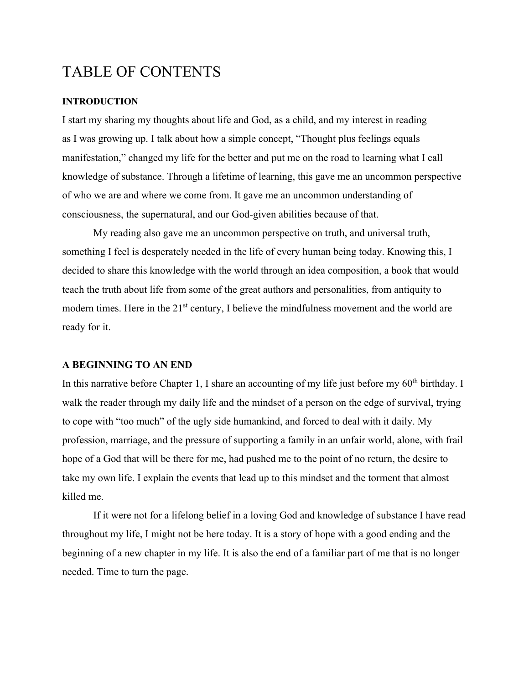# TABLE OF CONTENTS

# **INTRODUCTION**

I start my sharing my thoughts about life and God, as a child, and my interest in reading as I was growing up. I talk about how a simple concept, "Thought plus feelings equals manifestation," changed my life for the better and put me on the road to learning what I call knowledge of substance. Through a lifetime of learning, this gave me an uncommon perspective of who we are and where we come from. It gave me an uncommon understanding of consciousness, the supernatural, and our God-given abilities because of that.

 My reading also gave me an uncommon perspective on truth, and universal truth, something I feel is desperately needed in the life of every human being today. Knowing this, I decided to share this knowledge with the world through an idea composition, a book that would teach the truth about life from some of the great authors and personalities, from antiquity to modern times. Here in the 21<sup>st</sup> century, I believe the mindfulness movement and the world are ready for it.

#### **A BEGINNING TO AN END**

In this narrative before Chapter 1, I share an accounting of my life just before my  $60<sup>th</sup>$  birthday. I walk the reader through my daily life and the mindset of a person on the edge of survival, trying to cope with "too much" of the ugly side humankind, and forced to deal with it daily. My profession, marriage, and the pressure of supporting a family in an unfair world, alone, with frail hope of a God that will be there for me, had pushed me to the point of no return, the desire to take my own life. I explain the events that lead up to this mindset and the torment that almost killed me.

 If it were not for a lifelong belief in a loving God and knowledge of substance I have read throughout my life, I might not be here today. It is a story of hope with a good ending and the beginning of a new chapter in my life. It is also the end of a familiar part of me that is no longer needed. Time to turn the page.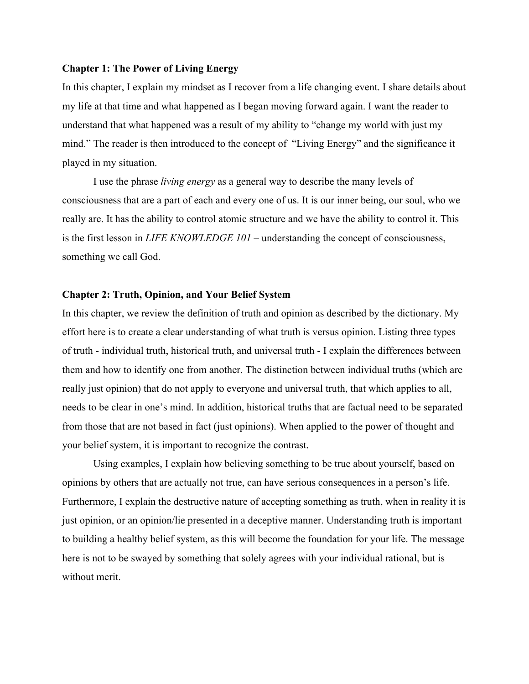#### **Chapter 1: The Power of Living Energy**

In this chapter, I explain my mindset as I recover from a life changing event. I share details about my life at that time and what happened as I began moving forward again. I want the reader to understand that what happened was a result of my ability to "change my world with just my mind." The reader is then introduced to the concept of "Living Energy" and the significance it played in my situation.

 I use the phrase *living energy* as a general way to describe the many levels of consciousness that are a part of each and every one of us. It is our inner being, our soul, who we really are. It has the ability to control atomic structure and we have the ability to control it. This is the first lesson in *LIFE KNOWLEDGE 101 –* understanding the concept of consciousness, something we call God.

## **Chapter 2: Truth, Opinion, and Your Belief System**

In this chapter, we review the definition of truth and opinion as described by the dictionary. My effort here is to create a clear understanding of what truth is versus opinion. Listing three types of truth - individual truth, historical truth, and universal truth - I explain the differences between them and how to identify one from another. The distinction between individual truths (which are really just opinion) that do not apply to everyone and universal truth, that which applies to all, needs to be clear in one's mind. In addition, historical truths that are factual need to be separated from those that are not based in fact (just opinions). When applied to the power of thought and your belief system, it is important to recognize the contrast.

 Using examples, I explain how believing something to be true about yourself, based on opinions by others that are actually not true, can have serious consequences in a person's life. Furthermore, I explain the destructive nature of accepting something as truth, when in reality it is just opinion, or an opinion/lie presented in a deceptive manner. Understanding truth is important to building a healthy belief system, as this will become the foundation for your life. The message here is not to be swayed by something that solely agrees with your individual rational, but is without merit.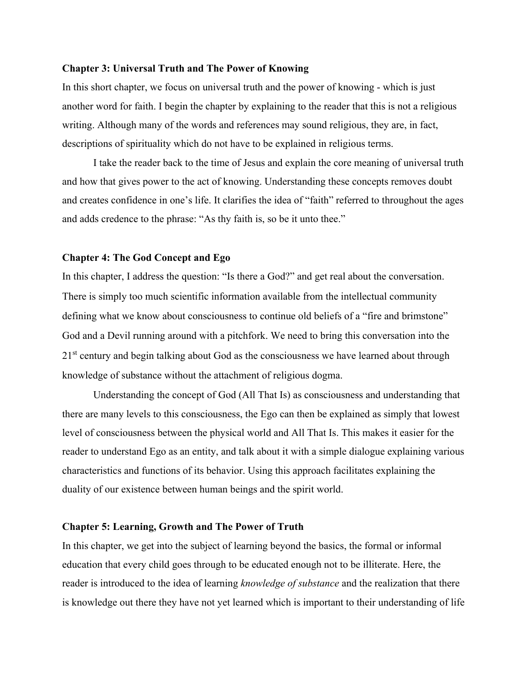#### **Chapter 3: Universal Truth and The Power of Knowing**

In this short chapter, we focus on universal truth and the power of knowing - which is just another word for faith. I begin the chapter by explaining to the reader that this is not a religious writing. Although many of the words and references may sound religious, they are, in fact, descriptions of spirituality which do not have to be explained in religious terms.

I take the reader back to the time of Jesus and explain the core meaning of universal truth and how that gives power to the act of knowing. Understanding these concepts removes doubt and creates confidence in one's life. It clarifies the idea of "faith" referred to throughout the ages and adds credence to the phrase: "As thy faith is, so be it unto thee."

## **Chapter 4: The God Concept and Ego**

In this chapter, I address the question: "Is there a God?" and get real about the conversation. There is simply too much scientific information available from the intellectual community defining what we know about consciousness to continue old beliefs of a "fire and brimstone" God and a Devil running around with a pitchfork. We need to bring this conversation into the 21<sup>st</sup> century and begin talking about God as the consciousness we have learned about through knowledge of substance without the attachment of religious dogma.

 Understanding the concept of God (All That Is) as consciousness and understanding that there are many levels to this consciousness, the Ego can then be explained as simply that lowest level of consciousness between the physical world and All That Is. This makes it easier for the reader to understand Ego as an entity, and talk about it with a simple dialogue explaining various characteristics and functions of its behavior. Using this approach facilitates explaining the duality of our existence between human beings and the spirit world.

## **Chapter 5: Learning, Growth and The Power of Truth**

In this chapter, we get into the subject of learning beyond the basics, the formal or informal education that every child goes through to be educated enough not to be illiterate. Here, the reader is introduced to the idea of learning *knowledge of substance* and the realization that there is knowledge out there they have not yet learned which is important to their understanding of life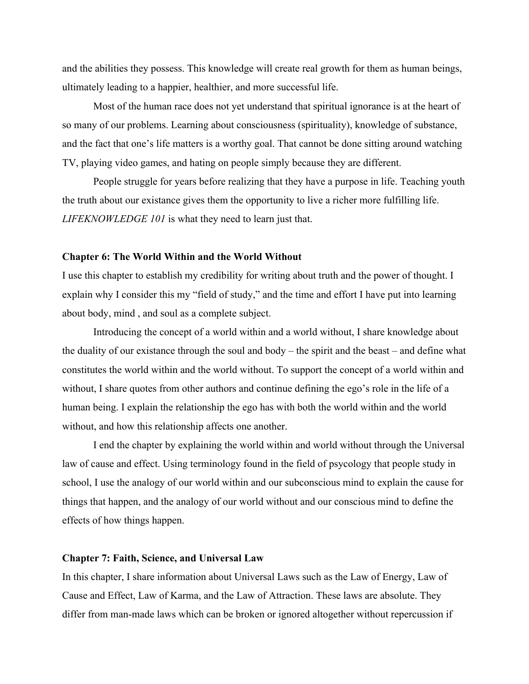and the abilities they possess. This knowledge will create real growth for them as human beings, ultimately leading to a happier, healthier, and more successful life.

 Most of the human race does not yet understand that spiritual ignorance is at the heart of so many of our problems. Learning about consciousness (spirituality), knowledge of substance, and the fact that one's life matters is a worthy goal. That cannot be done sitting around watching TV, playing video games, and hating on people simply because they are different.

People struggle for years before realizing that they have a purpose in life. Teaching youth the truth about our existance gives them the opportunity to live a richer more fulfilling life. *LIFEKNOWLEDGE 101* is what they need to learn just that.

## **Chapter 6: The World Within and the World Without**

I use this chapter to establish my credibility for writing about truth and the power of thought. I explain why I consider this my "field of study," and the time and effort I have put into learning about body, mind , and soul as a complete subject.

 Introducing the concept of a world within and a world without, I share knowledge about the duality of our existance through the soul and body – the spirit and the beast – and define what constitutes the world within and the world without. To support the concept of a world within and without, I share quotes from other authors and continue defining the ego's role in the life of a human being. I explain the relationship the ego has with both the world within and the world without, and how this relationship affects one another.

 I end the chapter by explaining the world within and world without through the Universal law of cause and effect. Using terminology found in the field of psycology that people study in school, I use the analogy of our world within and our subconscious mind to explain the cause for things that happen, and the analogy of our world without and our conscious mind to define the effects of how things happen.

#### **Chapter 7: Faith, Science, and Universal Law**

In this chapter, I share information about Universal Laws such as the Law of Energy, Law of Cause and Effect, Law of Karma, and the Law of Attraction. These laws are absolute. They differ from man-made laws which can be broken or ignored altogether without repercussion if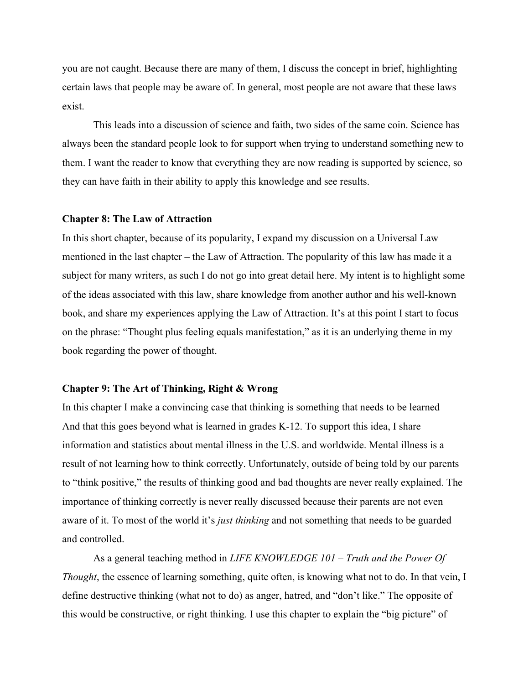you are not caught. Because there are many of them, I discuss the concept in brief, highlighting certain laws that people may be aware of. In general, most people are not aware that these laws exist.

 This leads into a discussion of science and faith, two sides of the same coin. Science has always been the standard people look to for support when trying to understand something new to them. I want the reader to know that everything they are now reading is supported by science, so they can have faith in their ability to apply this knowledge and see results.

## **Chapter 8: The Law of Attraction**

In this short chapter, because of its popularity, I expand my discussion on a Universal Law mentioned in the last chapter – the Law of Attraction. The popularity of this law has made it a subject for many writers, as such I do not go into great detail here. My intent is to highlight some of the ideas associated with this law, share knowledge from another author and his well-known book, and share my experiences applying the Law of Attraction. It's at this point I start to focus on the phrase: "Thought plus feeling equals manifestation," as it is an underlying theme in my book regarding the power of thought.

## **Chapter 9: The Art of Thinking, Right & Wrong**

In this chapter I make a convincing case that thinking is something that needs to be learned And that this goes beyond what is learned in grades K-12. To support this idea, I share information and statistics about mental illness in the U.S. and worldwide. Mental illness is a result of not learning how to think correctly. Unfortunately, outside of being told by our parents to "think positive," the results of thinking good and bad thoughts are never really explained. The importance of thinking correctly is never really discussed because their parents are not even aware of it. To most of the world it's *just thinking* and not something that needs to be guarded and controlled.

 As a general teaching method in *LIFE KNOWLEDGE 101 – Truth and the Power Of Thought*, the essence of learning something, quite often, is knowing what not to do. In that vein, I define destructive thinking (what not to do) as anger, hatred, and "don't like." The opposite of this would be constructive, or right thinking. I use this chapter to explain the "big picture" of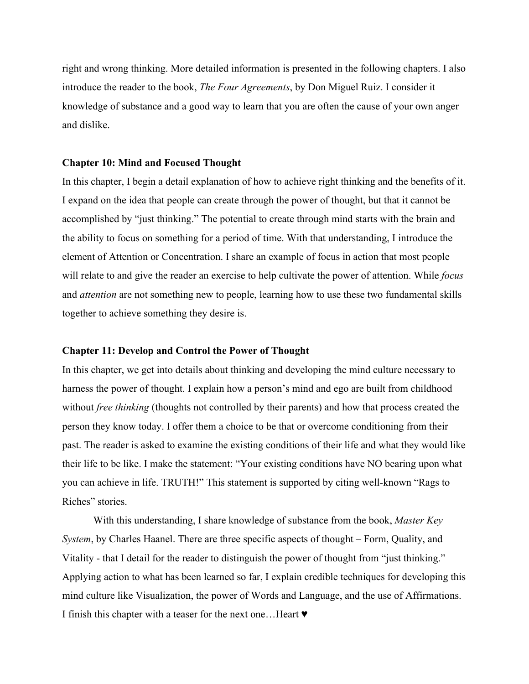right and wrong thinking. More detailed information is presented in the following chapters. I also introduce the reader to the book, *The Four Agreements*, by Don Miguel Ruiz. I consider it knowledge of substance and a good way to learn that you are often the cause of your own anger and dislike.

### **Chapter 10: Mind and Focused Thought**

In this chapter, I begin a detail explanation of how to achieve right thinking and the benefits of it. I expand on the idea that people can create through the power of thought, but that it cannot be accomplished by "just thinking." The potential to create through mind starts with the brain and the ability to focus on something for a period of time. With that understanding, I introduce the element of Attention or Concentration. I share an example of focus in action that most people will relate to and give the reader an exercise to help cultivate the power of attention. While *focus* and *attention* are not something new to people, learning how to use these two fundamental skills together to achieve something they desire is.

## **Chapter 11: Develop and Control the Power of Thought**

In this chapter, we get into details about thinking and developing the mind culture necessary to harness the power of thought. I explain how a person's mind and ego are built from childhood without *free thinking* (thoughts not controlled by their parents) and how that process created the person they know today. I offer them a choice to be that or overcome conditioning from their past. The reader is asked to examine the existing conditions of their life and what they would like their life to be like. I make the statement: "Your existing conditions have NO bearing upon what you can achieve in life. TRUTH!" This statement is supported by citing well-known "Rags to Riches" stories.

 With this understanding, I share knowledge of substance from the book, *Master Key System*, by Charles Haanel. There are three specific aspects of thought – Form, Quality, and Vitality - that I detail for the reader to distinguish the power of thought from "just thinking." Applying action to what has been learned so far, I explain credible techniques for developing this mind culture like Visualization, the power of Words and Language, and the use of Affirmations. I finish this chapter with a teaser for the next one…Heart ♥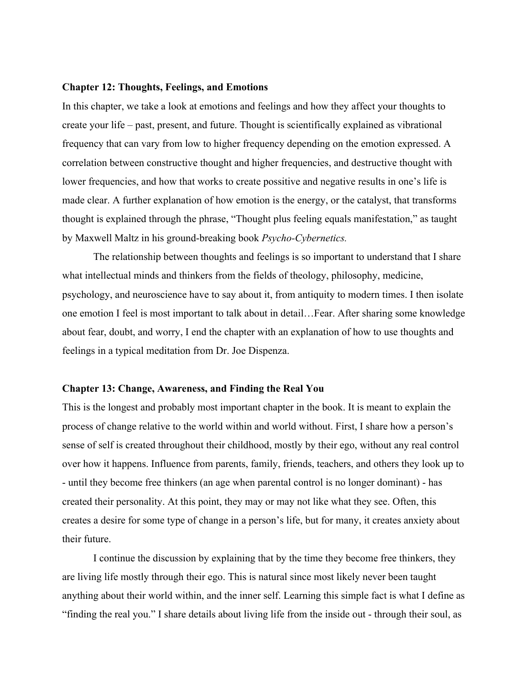## **Chapter 12: Thoughts, Feelings, and Emotions**

In this chapter, we take a look at emotions and feelings and how they affect your thoughts to create your life – past, present, and future. Thought is scientifically explained as vibrational frequency that can vary from low to higher frequency depending on the emotion expressed. A correlation between constructive thought and higher frequencies, and destructive thought with lower frequencies, and how that works to create possitive and negative results in one's life is made clear. A further explanation of how emotion is the energy, or the catalyst, that transforms thought is explained through the phrase, "Thought plus feeling equals manifestation," as taught by Maxwell Maltz in his ground-breaking book *Psycho-Cybernetics.*

 The relationship between thoughts and feelings is so important to understand that I share what intellectual minds and thinkers from the fields of theology, philosophy, medicine, psychology, and neuroscience have to say about it, from antiquity to modern times. I then isolate one emotion I feel is most important to talk about in detail…Fear. After sharing some knowledge about fear, doubt, and worry, I end the chapter with an explanation of how to use thoughts and feelings in a typical meditation from Dr. Joe Dispenza.

## **Chapter 13: Change, Awareness, and Finding the Real You**

This is the longest and probably most important chapter in the book. It is meant to explain the process of change relative to the world within and world without. First, I share how a person's sense of self is created throughout their childhood, mostly by their ego, without any real control over how it happens. Influence from parents, family, friends, teachers, and others they look up to - until they become free thinkers (an age when parental control is no longer dominant) - has created their personality. At this point, they may or may not like what they see. Often, this creates a desire for some type of change in a person's life, but for many, it creates anxiety about their future.

 I continue the discussion by explaining that by the time they become free thinkers, they are living life mostly through their ego. This is natural since most likely never been taught anything about their world within, and the inner self. Learning this simple fact is what I define as "finding the real you." I share details about living life from the inside out - through their soul, as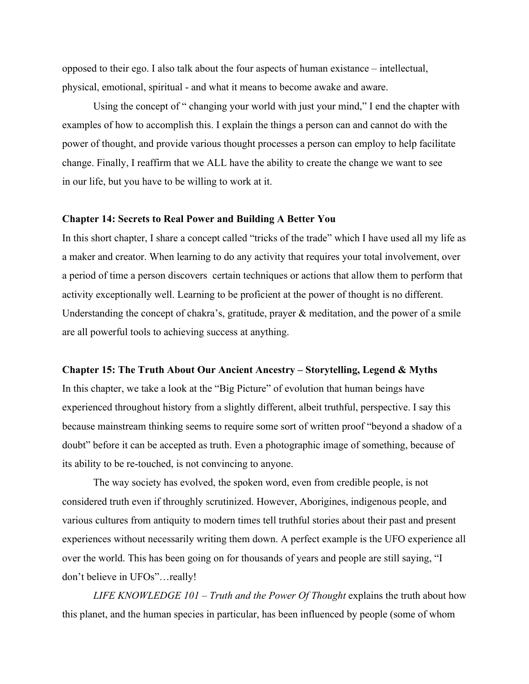opposed to their ego. I also talk about the four aspects of human existance – intellectual, physical, emotional, spiritual - and what it means to become awake and aware.

 Using the concept of " changing your world with just your mind," I end the chapter with examples of how to accomplish this. I explain the things a person can and cannot do with the power of thought, and provide various thought processes a person can employ to help facilitate change. Finally, I reaffirm that we ALL have the ability to create the change we want to see in our life, but you have to be willing to work at it.

#### **Chapter 14: Secrets to Real Power and Building A Better You**

In this short chapter, I share a concept called "tricks of the trade" which I have used all my life as a maker and creator. When learning to do any activity that requires your total involvement, over a period of time a person discovers certain techniques or actions that allow them to perform that activity exceptionally well. Learning to be proficient at the power of thought is no different. Understanding the concept of chakra's, gratitude, prayer & meditation, and the power of a smile are all powerful tools to achieving success at anything.

#### **Chapter 15: The Truth About Our Ancient Ancestry – Storytelling, Legend & Myths**

In this chapter, we take a look at the "Big Picture" of evolution that human beings have experienced throughout history from a slightly different, albeit truthful, perspective. I say this because mainstream thinking seems to require some sort of written proof "beyond a shadow of a doubt" before it can be accepted as truth. Even a photographic image of something, because of its ability to be re-touched, is not convincing to anyone.

 The way society has evolved, the spoken word, even from credible people, is not considered truth even if throughly scrutinized. However, Aborigines, indigenous people, and various cultures from antiquity to modern times tell truthful stories about their past and present experiences without necessarily writing them down. A perfect example is the UFO experience all over the world. This has been going on for thousands of years and people are still saying, "I don't believe in UFOs"…really!

*LIFE KNOWLEDGE 101 – Truth and the Power Of Thought* explains the truth about how this planet, and the human species in particular, has been influenced by people (some of whom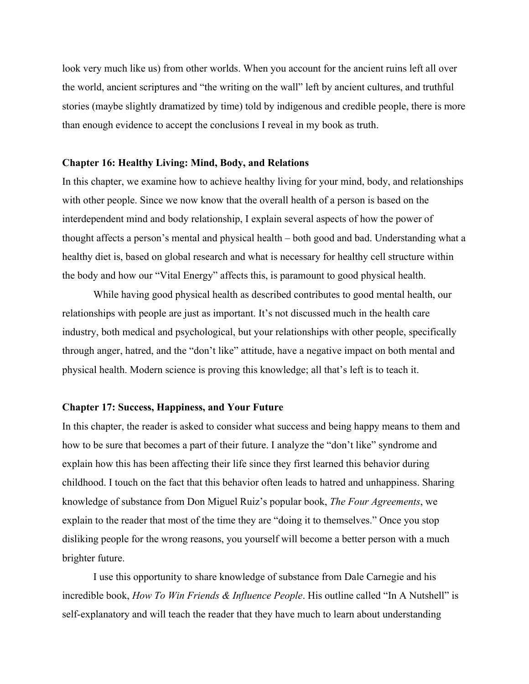look very much like us) from other worlds. When you account for the ancient ruins left all over the world, ancient scriptures and "the writing on the wall" left by ancient cultures, and truthful stories (maybe slightly dramatized by time) told by indigenous and credible people, there is more than enough evidence to accept the conclusions I reveal in my book as truth.

### **Chapter 16: Healthy Living: Mind, Body, and Relations**

In this chapter, we examine how to achieve healthy living for your mind, body, and relationships with other people. Since we now know that the overall health of a person is based on the interdependent mind and body relationship, I explain several aspects of how the power of thought affects a person's mental and physical health – both good and bad. Understanding what a healthy diet is, based on global research and what is necessary for healthy cell structure within the body and how our "Vital Energy" affects this, is paramount to good physical health.

 While having good physical health as described contributes to good mental health, our relationships with people are just as important. It's not discussed much in the health care industry, both medical and psychological, but your relationships with other people, specifically through anger, hatred, and the "don't like" attitude, have a negative impact on both mental and physical health. Modern science is proving this knowledge; all that's left is to teach it.

# **Chapter 17: Success, Happiness, and Your Future**

In this chapter, the reader is asked to consider what success and being happy means to them and how to be sure that becomes a part of their future. I analyze the "don't like" syndrome and explain how this has been affecting their life since they first learned this behavior during childhood. I touch on the fact that this behavior often leads to hatred and unhappiness. Sharing knowledge of substance from Don Miguel Ruiz's popular book, *The Four Agreements*, we explain to the reader that most of the time they are "doing it to themselves." Once you stop disliking people for the wrong reasons, you yourself will become a better person with a much brighter future.

 I use this opportunity to share knowledge of substance from Dale Carnegie and his incredible book, *How To Win Friends & Influence People*. His outline called "In A Nutshell" is self-explanatory and will teach the reader that they have much to learn about understanding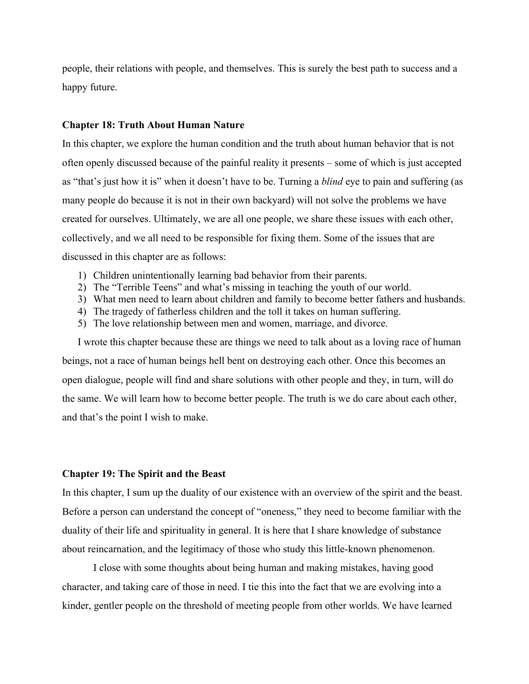people, their relations with people, and themselves. This is surely the best path to success and a happy future.

### **Chapter 18: Truth About Human Nature**

In this chapter, we explore the human condition and the truth about human behavior that is not often openly discussed because of the painful reality it presents – some of which is just accepted as "that's just how it is" when it doesn't have to be. Turning a *blind* eye to pain and suffering (as many people do because it is not in their own backyard) will not solve the problems we have created for ourselves. Ultimately, we are all one people, we share these issues with each other, collectively, and we all need to be responsible for fixing them. Some of the issues that are discussed in this chapter are as follows:

- 1) Children unintentionally learning bad behavior from their parents.
- 2) The "Terrible Teens" and what's missing in teaching the youth of our world.
- 3) What men need to learn about children and family to become better fathers and husbands.
- 4) The tragedy of fatherless children and the toll it takes on human suffering.
- 5) The love relationship between men and women, marriage, and divorce.

I wrote this chapter because these are things we need to talk about as a loving race of human beings, not a race of human beings hell bent on destroying each other. Once this becomes an open dialogue, people will find and share solutions with other people and they, in turn, will do the same. We will learn how to become better people. The truth is we do care about each other, and that's the point I wish to make.

#### **Chapter 19: The Spirit and the Beast**

In this chapter, I sum up the duality of our existence with an overview of the spirit and the beast. Before a person can understand the concept of "oneness," they need to become familiar with the duality of their life and spirituality in general. It is here that I share knowledge of substance about reincarnation, and the legitimacy of those who study this little-known phenomenon.

 I close with some thoughts about being human and making mistakes, having good character, and taking care of those in need. I tie this into the fact that we are evolving into a kinder, gentler people on the threshold of meeting people from other worlds. We have learned